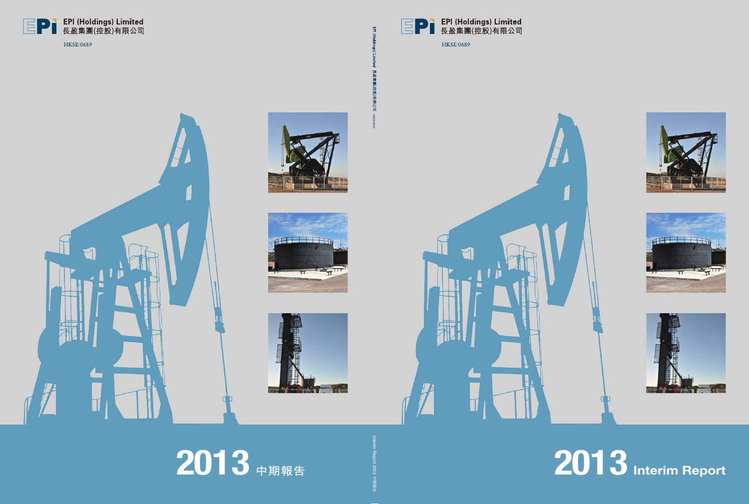

**HKSE:0689** 



**2013 Interim Report**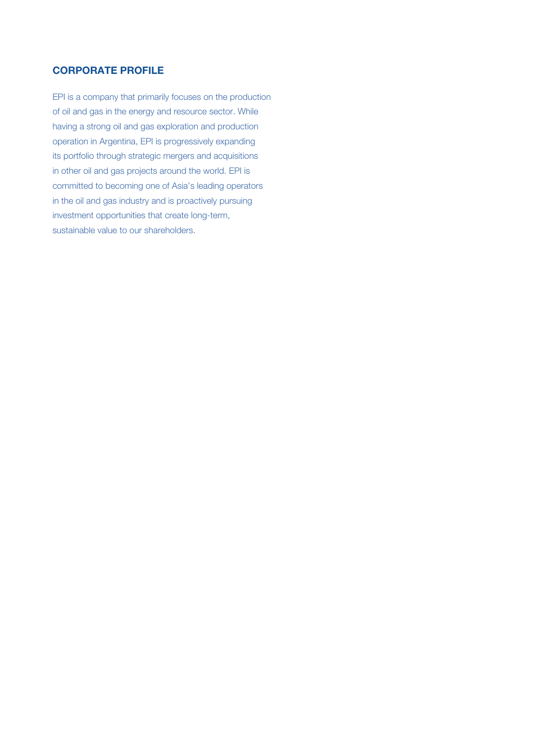# **CORPORATE PROFILE**

EPI is a company that primarily focuses on the production of oil and gas in the energy and resource sector. While having a strong oil and gas exploration and production operation in Argentina, EPI is progressively expanding its portfolio through strategic mergers and acquisitions in other oil and gas projects around the world. EPI is committed to becoming one of Asia's leading operators in the oil and gas industry and is proactively pursuing investment opportunities that create long-term, sustainable value to our shareholders.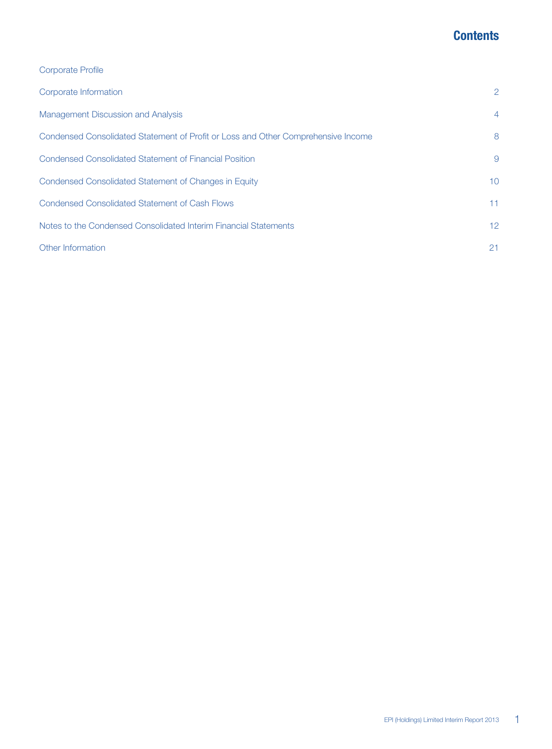# **Contents**

| <b>Corporate Profile</b> |  |
|--------------------------|--|
|--------------------------|--|

| Corporate Information                                                             | 2               |
|-----------------------------------------------------------------------------------|-----------------|
| Management Discussion and Analysis                                                | $\overline{4}$  |
| Condensed Consolidated Statement of Profit or Loss and Other Comprehensive Income | 8               |
| Condensed Consolidated Statement of Financial Position                            | 9               |
| Condensed Consolidated Statement of Changes in Equity                             | 10 <sup>°</sup> |
| <b>Condensed Consolidated Statement of Cash Flows</b>                             | 11              |
| Notes to the Condensed Consolidated Interim Financial Statements                  | 12 <sup>°</sup> |
| Other Information                                                                 | 21              |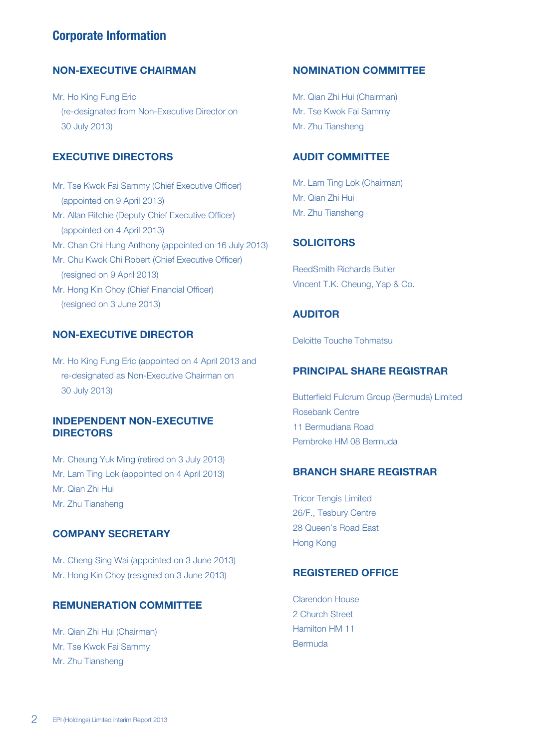# **Corporate Information**

## **NON-EXECUTIVE CHAIRMAN**

Mr. Ho King Fung Eric (re-designated from Non-Executive Director on 30 July 2013)

# **EXECUTIVE DIRECTORS**

Mr. Tse Kwok Fai Sammy (Chief Executive Officer) (appointed on 9 April 2013) Mr. Allan Ritchie (Deputy Chief Executive Officer) (appointed on 4 April 2013) Mr. Chan Chi Hung Anthony (appointed on 16 July 2013) Mr. Chu Kwok Chi Robert (Chief Executive Officer) (resigned on 9 April 2013) Mr. Hong Kin Choy (Chief Financial Officer) (resigned on 3 June 2013)

# **NON-EXECUTIVE DIRECTOR**

Mr. Ho King Fung Eric (appointed on 4 April 2013 and re-designated as Non-Executive Chairman on 30 July 2013)

# **INDEPENDENT NON-EXECUTIVE DIRECTORS**

Mr. Cheung Yuk Ming (retired on 3 July 2013) Mr. Lam Ting Lok (appointed on 4 April 2013) Mr. Qian Zhi Hui Mr. Zhu Tiansheng

# **COMPANY SECRETARY**

Mr. Cheng Sing Wai (appointed on 3 June 2013) Mr. Hong Kin Choy (resigned on 3 June 2013)

## **REMUNERATION COMMITTEE**

Mr. Qian Zhi Hui (Chairman) Mr. Tse Kwok Fai Sammy Mr. Zhu Tiansheng

### **NOMINATION COMMITTEE**

Mr. Qian Zhi Hui (Chairman) Mr. Tse Kwok Fai Sammy Mr. Zhu Tiansheng

# **AUDIT COMMITTEE**

Mr. Lam Ting Lok (Chairman) Mr. Qian Zhi Hui Mr. Zhu Tiansheng

### **SOLICITORS**

ReedSmith Richards Butler Vincent T.K. Cheung, Yap & Co.

## **AUDITOR**

Deloitte Touche Tohmatsu

# **PRINCIPAL SHARE REGISTRAR**

Butterfield Fulcrum Group (Bermuda) Limited Rosebank Centre 11 Bermudiana Road Pembroke HM 08 Bermuda

### **BRANCH SHARE REGISTRAR**

Tricor Tengis Limited 26/F., Tesbury Centre 28 Queen's Road East Hong Kong

## **REGISTERED OFFICE**

Clarendon House 2 Church Street Hamilton HM 11 Bermuda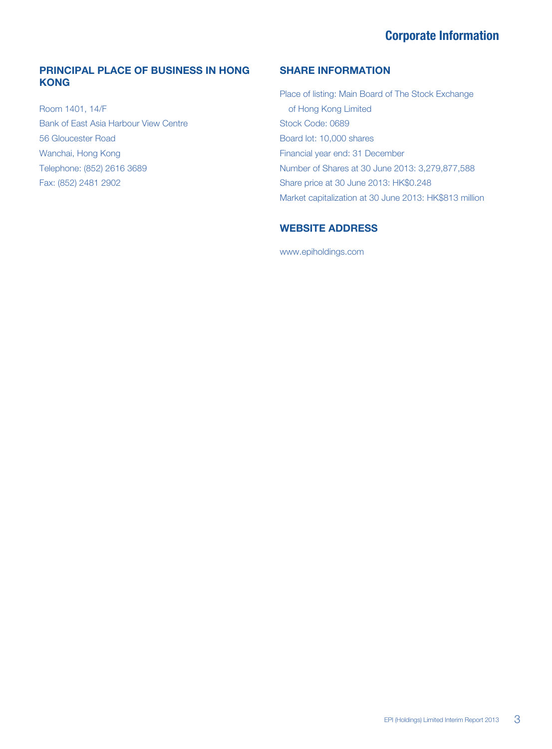# **Corporate Information**

# **PRINCIPAL PLACE OF BUSINESS IN HONG KONG**

Room 1401, 14/F Bank of East Asia Harbour View Centre 56 Gloucester Road Wanchai, Hong Kong Telephone: (852) 2616 3689 Fax: (852) 2481 2902

# **SHARE INFORMATION**

Place of listing: Main Board of The Stock Exchange of Hong Kong Limited Stock Code: 0689 Board lot: 10,000 shares Financial year end: 31 December Number of Shares at 30 June 2013: 3,279,877,588 Share price at 30 June 2013: HK\$0.248 Market capitalization at 30 June 2013: HK\$813 million

# **WEBSITE ADDRESS**

www.epiholdings.com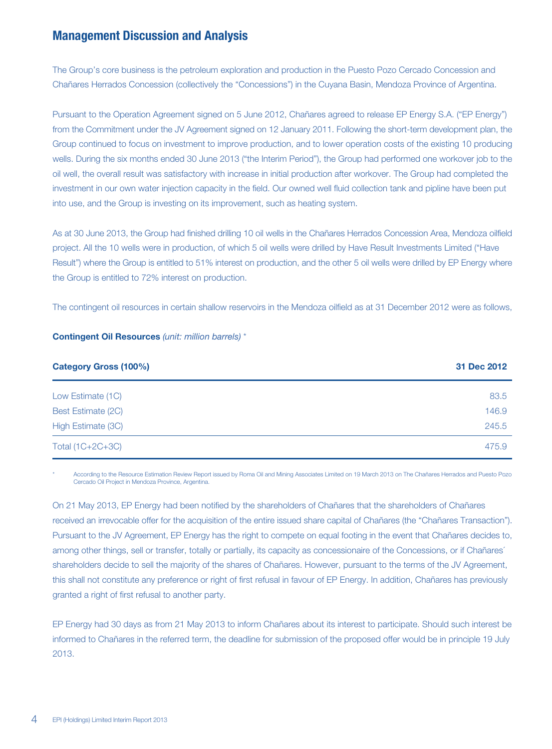The Group's core business is the petroleum exploration and production in the Puesto Pozo Cercado Concession and Chañares Herrados Concession (collectively the "Concessions") in the Cuyana Basin, Mendoza Province of Argentina.

Pursuant to the Operation Agreement signed on 5 June 2012, Chañares agreed to release EP Energy S.A. ("EP Energy") from the Commitment under the JV Agreement signed on 12 January 2011. Following the short-term development plan, the Group continued to focus on investment to improve production, and to lower operation costs of the existing 10 producing wells. During the six months ended 30 June 2013 ("the Interim Period"), the Group had performed one workover job to the oil well, the overall result was satisfactory with increase in initial production after workover. The Group had completed the investment in our own water injection capacity in the field. Our owned well fluid collection tank and pipline have been put into use, and the Group is investing on its improvement, such as heating system.

As at 30 June 2013, the Group had finished drilling 10 oil wells in the Chañares Herrados Concession Area, Mendoza oilfield project. All the 10 wells were in production, of which 5 oil wells were drilled by Have Result Investments Limited ("Have Result") where the Group is entitled to 51% interest on production, and the other 5 oil wells were drilled by EP Energy where the Group is entitled to 72% interest on production.

The contingent oil resources in certain shallow reservoirs in the Mendoza oilfield as at 31 December 2012 were as follows,

|  | <b>Contingent Oil Resources</b> (unit: million barrels) * |  |  |
|--|-----------------------------------------------------------|--|--|
|  |                                                           |  |  |

| <b>Category Gross (100%)</b> | 31 Dec 2012 |
|------------------------------|-------------|
| Low Estimate (1C)            | 83.5        |
| Best Estimate (2C)           | 146.9       |
| High Estimate (3C)           | 245.5       |
| Total (1C+2C+3C)             | 475.9       |

\* According to the Resource Estimation Review Report issued by Roma Oil and Mining Associates Limited on 19 March 2013 on The Chañares Herrados and Puesto Pozo Cercado Oil Project in Mendoza Province, Argentina.

On 21 May 2013, EP Energy had been notified by the shareholders of Chañares that the shareholders of Chañares received an irrevocable offer for the acquisition of the entire issued share capital of Chañares (the "Chañares Transaction"). Pursuant to the JV Agreement, EP Energy has the right to compete on equal footing in the event that Chañares decides to, among other things, sell or transfer, totally or partially, its capacity as concessionaire of the Concessions, or if Chañares´ shareholders decide to sell the majority of the shares of Chañares. However, pursuant to the terms of the JV Agreement, this shall not constitute any preference or right of first refusal in favour of EP Energy. In addition, Chañares has previously granted a right of first refusal to another party.

EP Energy had 30 days as from 21 May 2013 to inform Chañares about its interest to participate. Should such interest be informed to Chañares in the referred term, the deadline for submission of the proposed offer would be in principle 19 July 2013.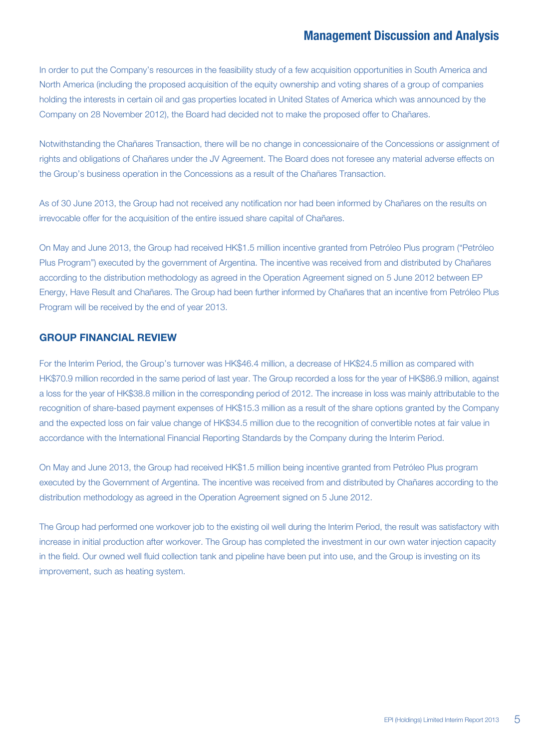In order to put the Company's resources in the feasibility study of a few acquisition opportunities in South America and North America (including the proposed acquisition of the equity ownership and voting shares of a group of companies holding the interests in certain oil and gas properties located in United States of America which was announced by the Company on 28 November 2012), the Board had decided not to make the proposed offer to Chañares.

Notwithstanding the Chañares Transaction, there will be no change in concessionaire of the Concessions or assignment of rights and obligations of Chañares under the JV Agreement. The Board does not foresee any material adverse effects on the Group's business operation in the Concessions as a result of the Chañares Transaction.

As of 30 June 2013, the Group had not received any notification nor had been informed by Chañares on the results on irrevocable offer for the acquisition of the entire issued share capital of Chañares.

On May and June 2013, the Group had received HK\$1.5 million incentive granted from Petróleo Plus program ("Petróleo Plus Program") executed by the government of Argentina. The incentive was received from and distributed by Chañares according to the distribution methodology as agreed in the Operation Agreement signed on 5 June 2012 between EP Energy, Have Result and Chañares. The Group had been further informed by Chañares that an incentive from Petróleo Plus Program will be received by the end of year 2013.

### **GROUP FINANCIAL REVIEW**

For the Interim Period, the Group's turnover was HK\$46.4 million, a decrease of HK\$24.5 million as compared with HK\$70.9 million recorded in the same period of last year. The Group recorded a loss for the year of HK\$86.9 million, against a loss for the year of HK\$38.8 million in the corresponding period of 2012. The increase in loss was mainly attributable to the recognition of share-based payment expenses of HK\$15.3 million as a result of the share options granted by the Company and the expected loss on fair value change of HK\$34.5 million due to the recognition of convertible notes at fair value in accordance with the International Financial Reporting Standards by the Company during the Interim Period.

On May and June 2013, the Group had received HK\$1.5 million being incentive granted from Petróleo Plus program executed by the Government of Argentina. The incentive was received from and distributed by Chañares according to the distribution methodology as agreed in the Operation Agreement signed on 5 June 2012.

The Group had performed one workover job to the existing oil well during the Interim Period, the result was satisfactory with increase in initial production after workover. The Group has completed the investment in our own water injection capacity in the field. Our owned well fluid collection tank and pipeline have been put into use, and the Group is investing on its improvement, such as heating system.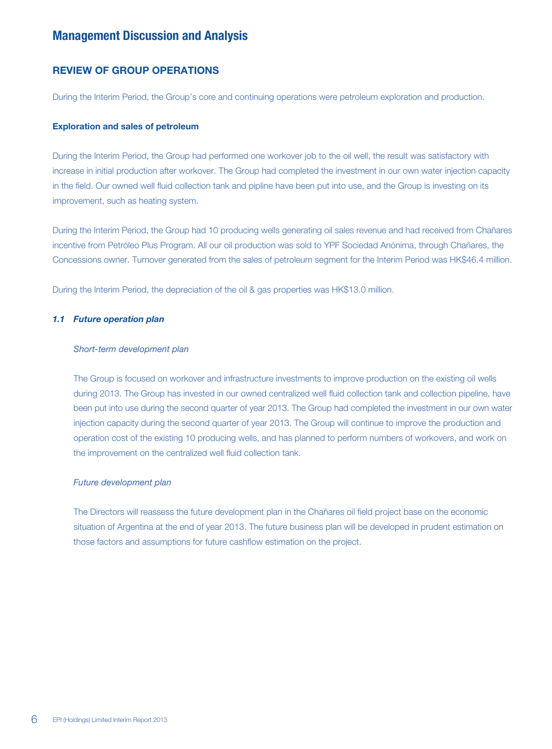### **REVIEW OF GROUP OPERATIONS**

During the Interim Period, the Group's core and continuing operations were petroleum exploration and production.

#### **Exploration and sales of petroleum**

During the Interim Period, the Group had performed one workover job to the oil well, the result was satisfactory with increase in initial production after workover. The Group had completed the investment in our own water injection capacity in the field. Our owned well fluid collection tank and pipline have been put into use, and the Group is investing on its improvement, such as heating system.

During the Interim Period, the Group had 10 producing wells generating oil sales revenue and had received from Chañares incentive from Petróleo Plus Program. All our oil production was sold to YPF Sociedad Anónima, through Chañares, the Concessions owner. Turnover generated from the sales of petroleum segment for the Interim Period was HK\$46.4 million.

During the Interim Period, the depreciation of the oil & gas properties was HK\$13.0 million.

#### *1.1 Future operation plan*

#### Short-term development plan

The Group is focused on workover and infrastructure investments to improve production on the existing oil wells during 2013. The Group has invested in our owned centralized well fluid collection tank and collection pipeline, have been put into use during the second quarter of year 2013. The Group had completed the investment in our own water injection capacity during the second quarter of year 2013. The Group will continue to improve the production and operation cost of the existing 10 producing wells, and has planned to perform numbers of workovers, and work on the improvement on the centralized well fluid collection tank.

#### Future development plan

The Directors will reassess the future development plan in the Chañares oil field project base on the economic situation of Argentina at the end of year 2013. The future business plan will be developed in prudent estimation on those factors and assumptions for future cashflow estimation on the project.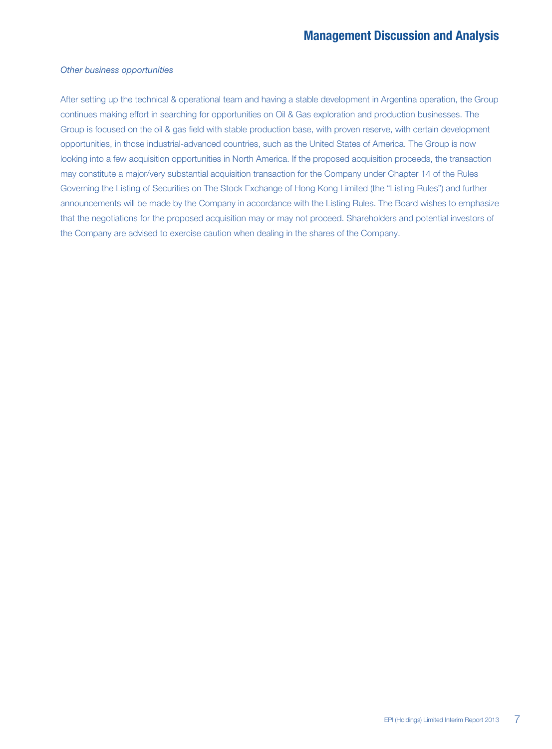#### Other business opportunities

After setting up the technical & operational team and having a stable development in Argentina operation, the Group continues making effort in searching for opportunities on Oil & Gas exploration and production businesses. The Group is focused on the oil & gas field with stable production base, with proven reserve, with certain development opportunities, in those industrial-advanced countries, such as the United States of America. The Group is now looking into a few acquisition opportunities in North America. If the proposed acquisition proceeds, the transaction may constitute a major/very substantial acquisition transaction for the Company under Chapter 14 of the Rules Governing the Listing of Securities on The Stock Exchange of Hong Kong Limited (the "Listing Rules") and further announcements will be made by the Company in accordance with the Listing Rules. The Board wishes to emphasize that the negotiations for the proposed acquisition may or may not proceed. Shareholders and potential investors of the Company are advised to exercise caution when dealing in the shares of the Company.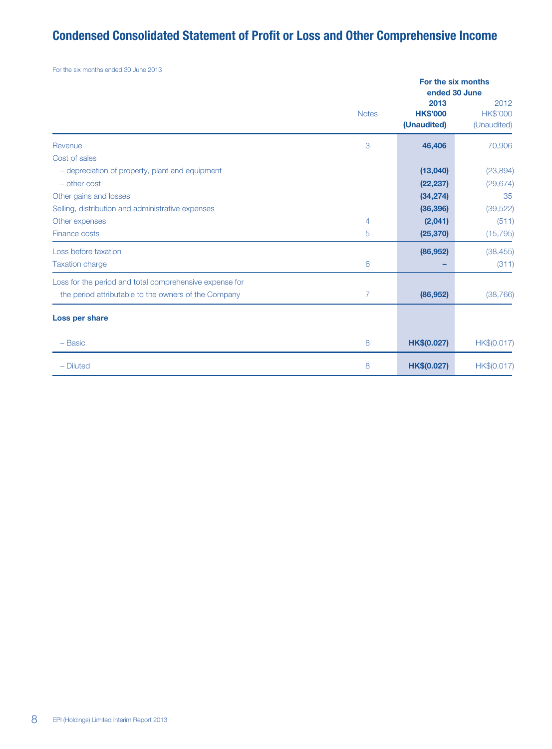# **Condensed Consolidated Statement of Profit or Loss and Other Comprehensive Income**

For the six months ended 30 June 2013

|                                                         |                | For the six months<br>ended 30 June    |                                        |  |
|---------------------------------------------------------|----------------|----------------------------------------|----------------------------------------|--|
|                                                         | <b>Notes</b>   | 2013<br><b>HK\$'000</b><br>(Unaudited) | 2012<br><b>HK\$'000</b><br>(Unaudited) |  |
| Revenue                                                 | 3              | 46,406                                 | 70,906                                 |  |
| Cost of sales                                           |                |                                        |                                        |  |
| - depreciation of property, plant and equipment         |                | (13,040)                               | (23, 894)                              |  |
| $-$ other cost                                          |                | (22, 237)                              | (29, 674)                              |  |
| Other gains and losses                                  |                | (34, 274)                              | 35                                     |  |
| Selling, distribution and administrative expenses       |                | (36, 396)                              | (39, 522)                              |  |
| Other expenses                                          | 4              | (2,041)                                | (511)                                  |  |
| Finance costs                                           | 5              | (25, 370)                              | (15, 795)                              |  |
| Loss before taxation                                    |                | (86, 952)                              | (38, 455)                              |  |
| <b>Taxation charge</b>                                  | 6              |                                        | (311)                                  |  |
| Loss for the period and total comprehensive expense for |                |                                        |                                        |  |
| the period attributable to the owners of the Company    | $\overline{7}$ | (86, 952)                              | (38, 766)                              |  |
| Loss per share                                          |                |                                        |                                        |  |
| - Basic                                                 | 8              | HK\$(0.027)                            | HK\$(0.017)                            |  |
| $-$ Diluted                                             | 8              | HK\$(0.027)                            | HK\$(0.017)                            |  |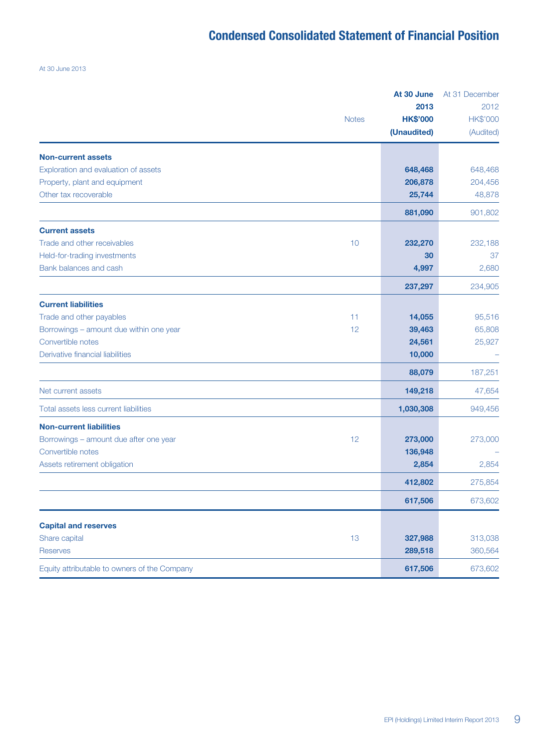# **Condensed Consolidated Statement of Financial Position**

At 30 June 2013

|                                               | At 30 June              |                         |
|-----------------------------------------------|-------------------------|-------------------------|
| <b>Notes</b>                                  | 2013<br><b>HK\$'000</b> | 2012<br><b>HK\$'000</b> |
|                                               | (Unaudited)             | (Audited)               |
| <b>Non-current assets</b>                     |                         |                         |
| Exploration and evaluation of assets          | 648,468                 | 648,468                 |
| Property, plant and equipment                 | 206,878                 | 204,456                 |
| Other tax recoverable                         | 25,744                  | 48,878                  |
|                                               | 881,090                 | 901,802                 |
| <b>Current assets</b>                         |                         |                         |
| Trade and other receivables<br>10             | 232,270                 | 232,188                 |
| Held-for-trading investments                  | 30                      | 37                      |
| Bank balances and cash                        | 4,997                   | 2,680                   |
|                                               | 237,297                 | 234,905                 |
| <b>Current liabilities</b>                    |                         |                         |
| Trade and other payables<br>11                | 14,055                  | 95,516                  |
| 12<br>Borrowings - amount due within one year | 39,463                  | 65,808                  |
| Convertible notes                             | 24,561                  | 25,927                  |
| Derivative financial liabilities              | 10,000                  |                         |
|                                               | 88,079                  | 187,251                 |
| Net current assets                            | 149,218                 | 47,654                  |
| Total assets less current liabilities         | 1,030,308               | 949,456                 |
| <b>Non-current liabilities</b>                |                         |                         |
| 12<br>Borrowings - amount due after one year  | 273,000                 | 273,000                 |
| Convertible notes                             | 136,948                 |                         |
| Assets retirement obligation                  | 2,854                   | 2,854                   |
|                                               | 412,802                 | 275,854                 |
|                                               | 617,506                 | 673,602                 |
| <b>Capital and reserves</b>                   |                         |                         |
| Share capital<br>13                           | 327,988                 | 313,038                 |
| <b>Reserves</b>                               | 289,518                 | 360,564                 |
| Equity attributable to owners of the Company  | 617,506                 | 673,602                 |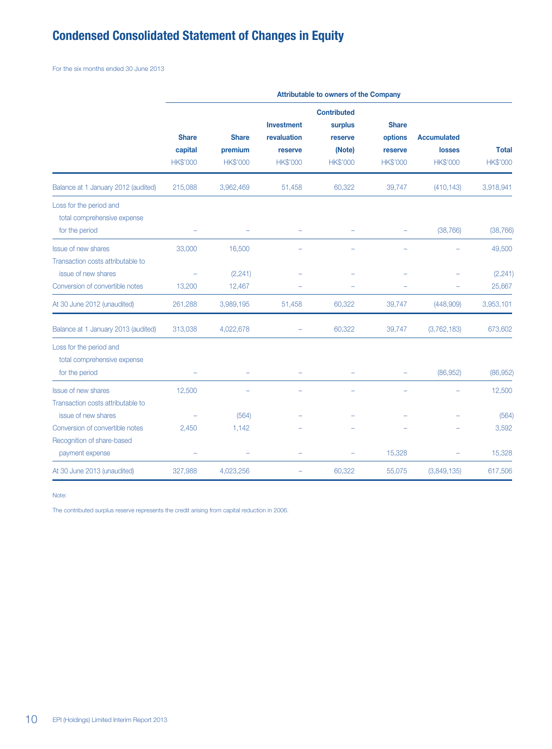# **Condensed Consolidated Statement of Changes in Equity**

For the six months ended 30 June 2013

|                                                                          | <b>Attributable to owners of the Company</b> |                                            |                                                                |                                                                       |                                                       |                                                        |                          |  |
|--------------------------------------------------------------------------|----------------------------------------------|--------------------------------------------|----------------------------------------------------------------|-----------------------------------------------------------------------|-------------------------------------------------------|--------------------------------------------------------|--------------------------|--|
|                                                                          | <b>Share</b><br>capital<br><b>HK\$'000</b>   | <b>Share</b><br>premium<br><b>HK\$'000</b> | <b>Investment</b><br>revaluation<br>reserve<br><b>HK\$'000</b> | <b>Contributed</b><br>surplus<br>reserve<br>(Note)<br><b>HK\$'000</b> | <b>Share</b><br>options<br>reserve<br><b>HK\$'000</b> | <b>Accumulated</b><br><b>losses</b><br><b>HK\$'000</b> | <b>Total</b><br>HK\$'000 |  |
| Balance at 1 January 2012 (audited)                                      | 215,088                                      | 3,962,469                                  | 51,458                                                         | 60,322                                                                | 39,747                                                | (410, 143)                                             | 3,918,941                |  |
| Loss for the period and<br>total comprehensive expense<br>for the period |                                              |                                            |                                                                |                                                                       | ۰                                                     | (38, 766)                                              | (38, 766)                |  |
| <b>Issue of new shares</b>                                               | 33,000                                       | 16,500                                     |                                                                |                                                                       |                                                       |                                                        | 49,500                   |  |
| Transaction costs attributable to<br>issue of new shares                 |                                              | (2, 241)                                   |                                                                |                                                                       |                                                       |                                                        | (2,241)                  |  |
| Conversion of convertible notes                                          | 13,200                                       | 12,467                                     |                                                                |                                                                       |                                                       |                                                        | 25,667                   |  |
| At 30 June 2012 (unaudited)                                              | 261,288                                      | 3,989,195                                  | 51,458                                                         | 60,322                                                                | 39,747                                                | (448,909)                                              | 3,953,101                |  |
| Balance at 1 January 2013 (audited)                                      | 313,038                                      | 4,022,678                                  |                                                                | 60,322                                                                | 39,747                                                | (3,762,183)                                            | 673,602                  |  |
| Loss for the period and<br>total comprehensive expense<br>for the period |                                              |                                            |                                                                |                                                                       | ÷                                                     | (86, 952)                                              | (86, 952)                |  |
| <b>Issue of new shares</b>                                               | 12,500                                       |                                            |                                                                |                                                                       |                                                       |                                                        | 12,500                   |  |
| Transaction costs attributable to<br>issue of new shares                 |                                              | (564)                                      |                                                                |                                                                       |                                                       |                                                        | (564)                    |  |
| Conversion of convertible notes                                          | 2,450                                        | 1,142                                      |                                                                |                                                                       |                                                       |                                                        | 3,592                    |  |
| Recognition of share-based<br>payment expense                            |                                              |                                            |                                                                |                                                                       | 15,328                                                |                                                        | 15,328                   |  |
| At 30 June 2013 (unaudited)                                              | 327,988                                      | 4,023,256                                  |                                                                | 60,322                                                                | 55,075                                                | (3,849,135)                                            | 617,506                  |  |

Note:

The contributed surplus reserve represents the credit arising from capital reduction in 2006.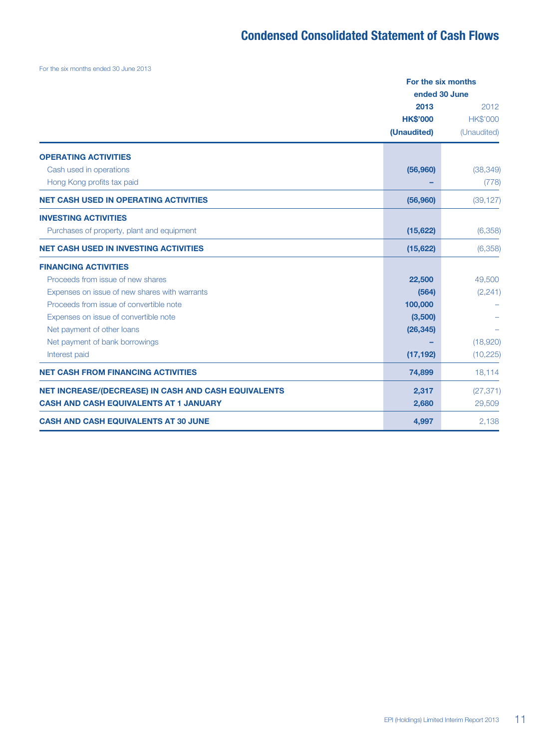# **Condensed Consolidated Statement of Cash Flows**

For the six months ended 30 June 2013

|                                                             |                 | For the six months |  |  |
|-------------------------------------------------------------|-----------------|--------------------|--|--|
|                                                             |                 | ended 30 June      |  |  |
|                                                             | 2013            | 2012               |  |  |
|                                                             | <b>HK\$'000</b> | <b>HK\$'000</b>    |  |  |
|                                                             | (Unaudited)     | (Unaudited)        |  |  |
| <b>OPERATING ACTIVITIES</b>                                 |                 |                    |  |  |
| Cash used in operations                                     | (56, 960)       | (38, 349)          |  |  |
| Hong Kong profits tax paid                                  |                 | (778)              |  |  |
| <b>NET CASH USED IN OPERATING ACTIVITIES</b>                | (56,960)        | (39, 127)          |  |  |
| <b>INVESTING ACTIVITIES</b>                                 |                 |                    |  |  |
| Purchases of property, plant and equipment                  | (15, 622)       | (6,358)            |  |  |
| <b>NET CASH USED IN INVESTING ACTIVITIES</b>                | (15, 622)       | (6,358)            |  |  |
| <b>FINANCING ACTIVITIES</b>                                 |                 |                    |  |  |
| Proceeds from issue of new shares                           | 22,500          | 49,500             |  |  |
| Expenses on issue of new shares with warrants               | (564)           | (2, 241)           |  |  |
| Proceeds from issue of convertible note                     | 100,000         |                    |  |  |
| Expenses on issue of convertible note                       | (3,500)         |                    |  |  |
| Net payment of other loans                                  | (26, 345)       |                    |  |  |
| Net payment of bank borrowings                              |                 | (18,920)           |  |  |
| Interest paid                                               | (17, 192)       | (10, 225)          |  |  |
| <b>NET CASH FROM FINANCING ACTIVITIES</b>                   | 74,899          | 18,114             |  |  |
| <b>NET INCREASE/(DECREASE) IN CASH AND CASH EQUIVALENTS</b> | 2,317           | (27, 371)          |  |  |
| <b>CASH AND CASH EQUIVALENTS AT 1 JANUARY</b>               | 2,680           | 29,509             |  |  |
| <b>CASH AND CASH EQUIVALENTS AT 30 JUNE</b>                 | 4,997           | 2,138              |  |  |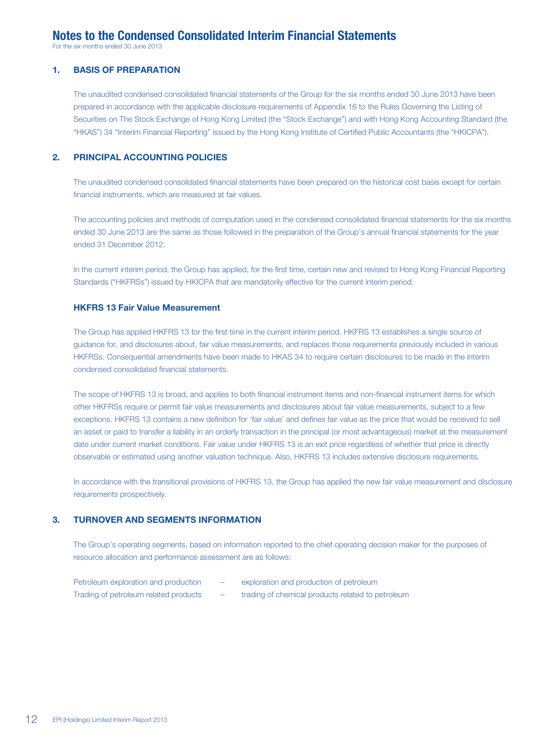# **Notes to the Condensed Consolidated Interim Financial Statements**

For the six months ended 30 June 2013

#### **1. BASIS OF PREPARATION**

The unaudited condensed consolidated financial statements of the Group for the six months ended 30 June 2013 have been prepared in accordance with the applicable disclosure requirements of Appendix 16 to the Rules Governing the Listing of Securities on The Stock Exchange of Hong Kong Limited (the "Stock Exchange") and with Hong Kong Accounting Standard (the "HKAS") 34 "Interim Financial Reporting" issued by the Hong Kong Institute of Certified Public Accountants (the "HKICPA").

### **2. PRINCIPAL ACCOUNTING POLICIES**

The unaudited condensed consolidated financial statements have been prepared on the historical cost basis except for certain financial instruments, which are measured at fair values.

The accounting policies and methods of computation used in the condensed consolidated financial statements for the six months ended 30 June 2013 are the same as those followed in the preparation of the Group's annual financial statements for the year ended 31 December 2012.

In the current interim period, the Group has applied, for the first time, certain new and revised to Hong Kong Financial Reporting Standards ("HKFRSs") issued by HKICPA that are mandatorily effective for the current interim period.

#### **HKFRS 13 Fair Value Measurement**

The Group has applied HKFRS 13 for the first time in the current interim period. HKFRS 13 establishes a single source of guidance for, and disclosures about, fair value measurements, and replaces those requirements previously included in various HKFRSs. Consequential amendments have been made to HKAS 34 to require certain disclosures to be made in the interim condensed consolidated financial statements.

The scope of HKFRS 13 is broad, and applies to both financial instrument items and non-financial instrument items for which other HKFRSs require or permit fair value measurements and disclosures about fair value measurements, subject to a few exceptions. HKFRS 13 contains a new definition for 'fair value' and defines fair value as the price that would be received to sell an asset or paid to transfer a liability in an orderly transaction in the principal (or most advantageous) market at the measurement date under current market conditions. Fair value under HKFRS 13 is an exit price regardless of whether that price is directly observable or estimated using another valuation technique. Also, HKFRS 13 includes extensive disclosure requirements.

In accordance with the transitional provisions of HKFRS 13, the Group has applied the new fair value measurement and disclosure requirements prospectively.

#### **3. TURNOVER AND SEGMENTS INFORMATION**

The Group's operating segments, based on information reported to the chief operating decision maker for the purposes of resource allocation and performance assessment are as follows:

| Petroleum exploration and production  | exploration and production of petroleum           |
|---------------------------------------|---------------------------------------------------|
| Trading of petroleum related products | trading of chemical products related to petroleum |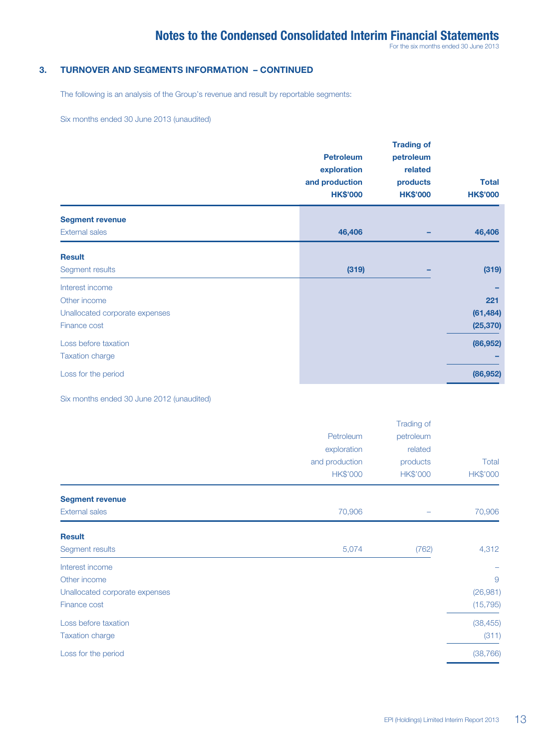For the six months ended 30 June 2013

### **3. TURNOVER AND SEGMENTS INFORMATION – CONTINUED**

The following is an analysis of the Group's revenue and result by reportable segments:

Six months ended 30 June 2013 (unaudited)

|                                                                                   | <b>Petroleum</b><br>exploration<br>and production<br><b>HK\$'000</b> | <b>Trading of</b><br>petroleum<br>related<br>products<br><b>HK\$'000</b> | <b>Total</b><br><b>HK\$'000</b> |
|-----------------------------------------------------------------------------------|----------------------------------------------------------------------|--------------------------------------------------------------------------|---------------------------------|
| <b>Segment revenue</b><br><b>External sales</b>                                   | 46,406                                                               |                                                                          | 46,406                          |
| <b>Result</b><br>Segment results                                                  | (319)                                                                |                                                                          | (319)                           |
| Interest income<br>Other income<br>Unallocated corporate expenses<br>Finance cost |                                                                      |                                                                          | 221<br>(61, 484)<br>(25, 370)   |
| Loss before taxation<br><b>Taxation charge</b>                                    |                                                                      |                                                                          | (86, 952)                       |
| Loss for the period                                                               |                                                                      |                                                                          | (86, 952)                       |

Six months ended 30 June 2012 (unaudited)

|                                                                                   | Petroleum<br>exploration<br>and production | Trading of<br>petroleum<br>related<br>products | Total                      |
|-----------------------------------------------------------------------------------|--------------------------------------------|------------------------------------------------|----------------------------|
|                                                                                   | <b>HK\$'000</b>                            | <b>HK\$'000</b>                                | <b>HK\$'000</b>            |
| <b>Segment revenue</b><br><b>External sales</b>                                   | 70,906                                     |                                                | 70,906                     |
| <b>Result</b><br>Segment results                                                  | 5,074                                      | (762)                                          | 4,312                      |
| Interest income<br>Other income<br>Unallocated corporate expenses<br>Finance cost |                                            |                                                | 9<br>(26,981)<br>(15, 795) |
| Loss before taxation<br><b>Taxation charge</b>                                    |                                            |                                                | (38, 455)<br>(311)         |
| Loss for the period                                                               |                                            |                                                | (38, 766)                  |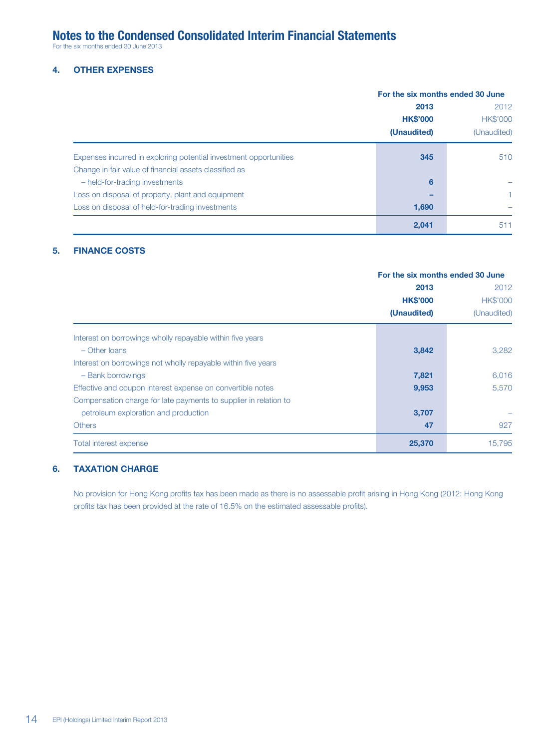# **Notes to the Condensed Consolidated Interim Financial Statements**

For the six months ended 30 June 2013

### **4. OTHER EXPENSES**

|                                                                   |                 | For the six months ended 30 June |  |  |
|-------------------------------------------------------------------|-----------------|----------------------------------|--|--|
|                                                                   | 2013            | 2012                             |  |  |
|                                                                   | <b>HK\$'000</b> | <b>HK\$'000</b>                  |  |  |
|                                                                   | (Unaudited)     | (Unaudited)                      |  |  |
| Expenses incurred in exploring potential investment opportunities | 345             | 510                              |  |  |
| Change in fair value of financial assets classified as            |                 |                                  |  |  |
| - held-for-trading investments                                    | 6               |                                  |  |  |
| Loss on disposal of property, plant and equipment                 |                 |                                  |  |  |
| Loss on disposal of held-for-trading investments                  | 1,690           |                                  |  |  |
|                                                                   | 2,041           | 511                              |  |  |

### **5. FINANCE COSTS**

|                                                                  | For the six months ended 30 June |                 |
|------------------------------------------------------------------|----------------------------------|-----------------|
|                                                                  | 2013                             | 2012            |
|                                                                  | <b>HK\$'000</b>                  | <b>HK\$'000</b> |
|                                                                  | (Unaudited)                      | (Unaudited)     |
| Interest on borrowings wholly repayable within five years        |                                  |                 |
| $-$ Other Ioans                                                  | 3,842                            | 3,282           |
| Interest on borrowings not wholly repayable within five years    |                                  |                 |
| - Bank borrowings                                                | 7,821                            | 6,016           |
| Effective and coupon interest expense on convertible notes       | 9,953                            | 5,570           |
| Compensation charge for late payments to supplier in relation to |                                  |                 |
| petroleum exploration and production                             | 3,707                            |                 |
| <b>Others</b>                                                    | 47                               | 927             |
| Total interest expense                                           | 25,370                           | 15,795          |

### **6. TAXATION CHARGE**

No provision for Hong Kong profits tax has been made as there is no assessable profit arising in Hong Kong (2012: Hong Kong profits tax has been provided at the rate of 16.5% on the estimated assessable profits).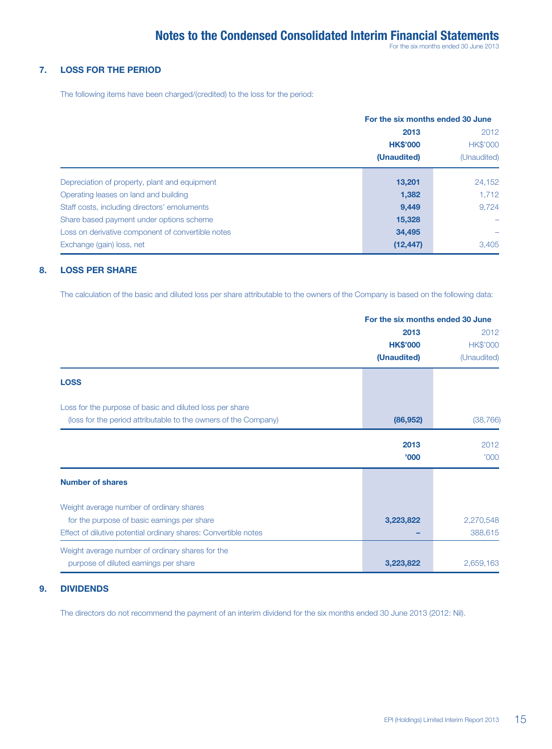#### **7. LOSS FOR THE PERIOD**

The following items have been charged/(credited) to the loss for the period:

|                                                   | For the six months ended 30 June |                 |
|---------------------------------------------------|----------------------------------|-----------------|
|                                                   | 2013                             | 2012            |
|                                                   | <b>HK\$'000</b>                  | <b>HK\$'000</b> |
|                                                   | (Unaudited)                      | (Unaudited)     |
| Depreciation of property, plant and equipment     | 13,201                           | 24,152          |
| Operating leases on land and building             | 1,382                            | 1.712           |
| Staff costs, including directors' emoluments      | 9,449                            | 9.724           |
| Share based payment under options scheme          | 15,328                           |                 |
| Loss on derivative component of convertible notes | 34,495                           |                 |
| Exchange (gain) loss, net                         | (12, 447)                        | 3.405           |

#### **8. LOSS PER SHARE**

The calculation of the basic and diluted loss per share attributable to the owners of the Company is based on the following data:

|                                                                 | For the six months ended 30 June |                 |  |
|-----------------------------------------------------------------|----------------------------------|-----------------|--|
|                                                                 | 2013                             | 2012            |  |
|                                                                 | <b>HK\$'000</b>                  | <b>HK\$'000</b> |  |
|                                                                 | (Unaudited)                      | (Unaudited)     |  |
| <b>LOSS</b>                                                     |                                  |                 |  |
| Loss for the purpose of basic and diluted loss per share        |                                  |                 |  |
| (loss for the period attributable to the owners of the Company) | (86, 952)                        | (38, 766)       |  |
|                                                                 | 2013                             | 2012            |  |
|                                                                 | '000                             | '000            |  |
| <b>Number of shares</b>                                         |                                  |                 |  |
| Weight average number of ordinary shares                        |                                  |                 |  |
| for the purpose of basic earnings per share                     | 3,223,822                        | 2,270,548       |  |
| Effect of dilutive potential ordinary shares: Convertible notes |                                  | 388,615         |  |
| Weight average number of ordinary shares for the                |                                  |                 |  |
| purpose of diluted earnings per share                           | 3,223,822                        | 2,659,163       |  |

#### **9. DIVIDENDS**

The directors do not recommend the payment of an interim dividend for the six months ended 30 June 2013 (2012: Nil).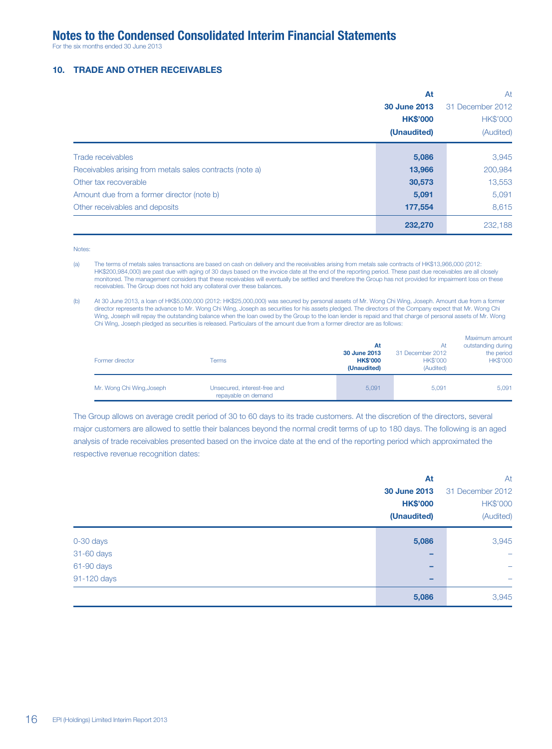For the six months ended 30 June 2013

#### **10. TRADE AND OTHER RECEIVABLES**

|                                                          | At              | At               |  |
|----------------------------------------------------------|-----------------|------------------|--|
|                                                          | 30 June 2013    | 31 December 2012 |  |
|                                                          | <b>HK\$'000</b> | <b>HK\$'000</b>  |  |
|                                                          | (Unaudited)     | (Audited)        |  |
| Trade receivables                                        | 5,086           | 3,945            |  |
| Receivables arising from metals sales contracts (note a) | 13,966          | 200,984          |  |
| Other tax recoverable                                    | 30,573          | 13,553           |  |
| Amount due from a former director (note b)               | 5,091           | 5,091            |  |
| Other receivables and deposits                           | 177,554         | 8,615            |  |
|                                                          | 232,270         | 232,188          |  |

Notes:

(a) The terms of metals sales transactions are based on cash on delivery and the receivables arising from metals sale contracts of HK\$13,966,000 (2012: HK\$200,984,000) are past due with aging of 30 days based on the invoice date at the end of the reporting period. These past due receivables are all closely monitored. The management considers that these receivables will eventually be settled and therefore the Group has not provided for impairment loss on these receivables. The Group does not hold any collateral over these balances.

(b) At 30 June 2013, a loan of HK\$5,000,000 (2012: HK\$25,000,000) was secured by personal assets of Mr. Wong Chi Wing, Joseph. Amount due from a former director represents the advance to Mr. Wong Chi Wing, Joseph as securities for his assets pledged. The directors of the Company expect that Mr. Wong Chi Wing, Joseph will repay the outstanding balance when the loan owed by the Group to the loan lender is repaid and that charge of personal assets of Mr. Wong Chi Wing, Joseph pledged as securities is released. Particulars of the amount due from a former director are as follows:

| Former director           | Terms                                               | At<br>30 June 2013<br><b>HK\$'000</b><br>(Unaudited) | At<br>31 December 2012<br><b>HK\$'000</b><br>(Audited) | Maximum amount<br>outstanding during<br>the period<br><b>HK\$'000</b> |
|---------------------------|-----------------------------------------------------|------------------------------------------------------|--------------------------------------------------------|-----------------------------------------------------------------------|
| Mr. Wong Chi Wing, Joseph | Unsecured, interest-free and<br>repayable on demand | 5.091                                                | 5.091                                                  | 5,091                                                                 |

The Group allows on average credit period of 30 to 60 days to its trade customers. At the discretion of the directors, several major customers are allowed to settle their balances beyond the normal credit terms of up to 180 days. The following is an aged analysis of trade receivables presented based on the invoice date at the end of the reporting period which approximated the respective revenue recognition dates:

|             | At              | At                       |
|-------------|-----------------|--------------------------|
|             | 30 June 2013    | 31 December 2012         |
|             | <b>HK\$'000</b> | <b>HK\$'000</b>          |
|             | (Unaudited)     | (Audited)                |
| 0-30 days   | 5,086           | 3,945                    |
| 31-60 days  |                 | $\overline{\phantom{0}}$ |
| 61-90 days  | -               | -                        |
| 91-120 days | -               | -                        |
|             | 5,086           | 3,945                    |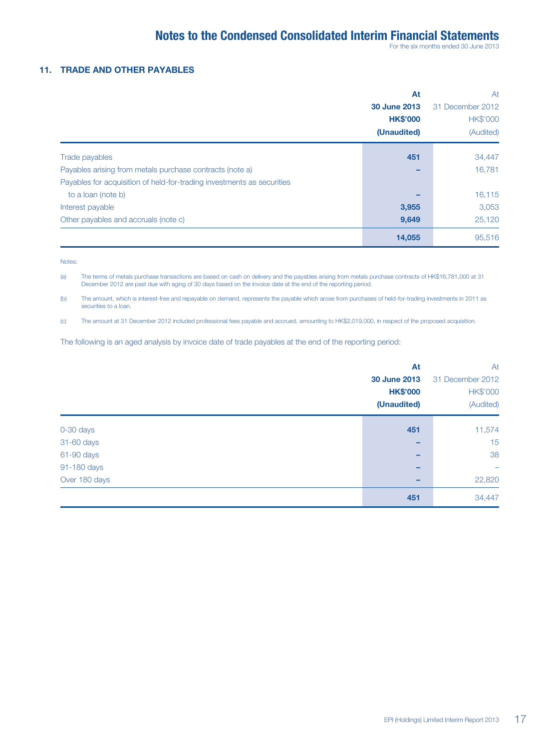For the six months ended 30 June 2013

#### **11. TRADE AND OTHER PAYABLES**

|                                                                        | At                  | At               |  |
|------------------------------------------------------------------------|---------------------|------------------|--|
|                                                                        | <b>30 June 2013</b> | 31 December 2012 |  |
|                                                                        | <b>HK\$'000</b>     | <b>HK\$'000</b>  |  |
|                                                                        | (Unaudited)         | (Audited)        |  |
| Trade payables                                                         | 451                 | 34,447           |  |
| Payables arising from metals purchase contracts (note a)               |                     | 16,781           |  |
| Payables for acquisition of held-for-trading investments as securities |                     |                  |  |
| to a loan (note b)                                                     |                     | 16,115           |  |
| Interest payable                                                       | 3,955               | 3,053            |  |
| Other payables and accruals (note c)                                   | 9,649               | 25,120           |  |
|                                                                        | 14,055              | 95,516           |  |

Notes:

(a) The terms of metals purchase transactions are based on cash on delivery and the payables arising from metals purchase contracts of HK\$16,781,000 at 31 December 2012 are past due with aging of 30 days based on the invoice date at the end of the reporting period.

(b) The amount, which is interest-free and repayable on demand, represents the payable which arose from purchases of held-for-trading investments in 2011 as securities to a loan.

(c) The amount at 31 December 2012 included professional fees payable and accrued, amounting to HK\$2,019,000, in respect of the proposed acquisition.

The following is an aged analysis by invoice date of trade payables at the end of the reporting period:

|               | At                  | At               |
|---------------|---------------------|------------------|
|               | <b>30 June 2013</b> | 31 December 2012 |
|               | <b>HK\$'000</b>     | <b>HK\$'000</b>  |
|               | (Unaudited)         | (Audited)        |
|               | 451                 |                  |
| 0-30 days     |                     | 11,574           |
| 31-60 days    |                     | 15               |
| 61-90 days    | -                   | 38               |
| 91-180 days   | -                   |                  |
| Over 180 days |                     | 22,820           |
|               | 451                 | 34,447           |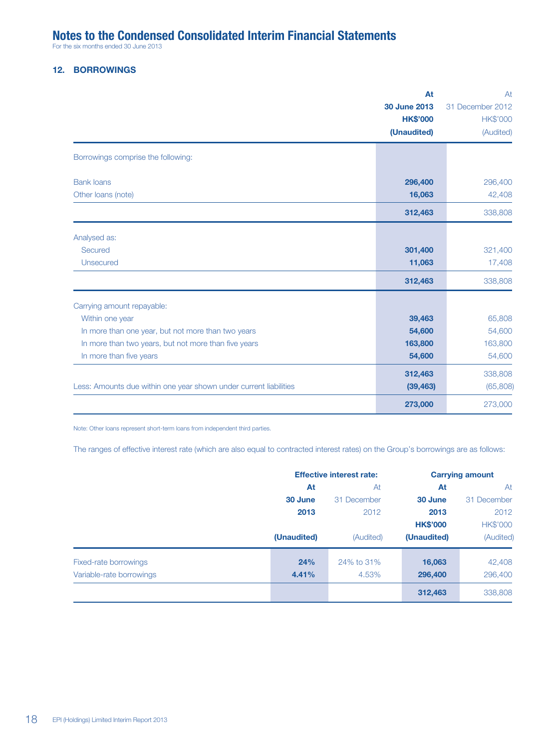# **Notes to the Condensed Consolidated Interim Financial Statements**

For the six months ended 30 June 2013

# **12. BORROWINGS**

|                                                                   | At                  | At               |
|-------------------------------------------------------------------|---------------------|------------------|
|                                                                   | <b>30 June 2013</b> | 31 December 2012 |
|                                                                   | <b>HK\$'000</b>     | <b>HK\$'000</b>  |
|                                                                   | (Unaudited)         | (Audited)        |
| Borrowings comprise the following:                                |                     |                  |
| <b>Bank loans</b>                                                 | 296,400             | 296,400          |
| Other loans (note)                                                | 16,063              | 42,408           |
|                                                                   | 312,463             | 338,808          |
| Analysed as:                                                      |                     |                  |
| Secured                                                           | 301,400             | 321,400          |
| <b>Unsecured</b>                                                  | 11,063              | 17,408           |
|                                                                   | 312,463             | 338,808          |
| Carrying amount repayable:                                        |                     |                  |
| Within one year                                                   | 39,463              | 65,808           |
| In more than one year, but not more than two years                | 54,600              | 54,600           |
| In more than two years, but not more than five years              | 163,800             | 163,800          |
| In more than five years                                           | 54,600              | 54,600           |
|                                                                   | 312,463             | 338,808          |
| Less: Amounts due within one year shown under current liabilities | (39, 463)           | (65,808)         |
|                                                                   | 273,000             | 273,000          |

Note: Other loans represent short-term loans from independent third parties.

The ranges of effective interest rate (which are also equal to contracted interest rates) on the Group's borrowings are as follows:

|                          | <b>Effective interest rate:</b> |             | <b>Carrying amount</b> |                 |
|--------------------------|---------------------------------|-------------|------------------------|-----------------|
|                          | At                              | At          | At                     | At              |
|                          | 30 June                         | 31 December | 30 June                | 31 December     |
|                          | 2013<br>(Unaudited)             | 2012        | 2013                   | 2012            |
|                          |                                 |             | <b>HK\$'000</b>        | <b>HK\$'000</b> |
|                          |                                 | (Audited)   | (Unaudited)            | (Audited)       |
| Fixed-rate borrowings    | 24%                             | 24% to 31%  | 16,063                 | 42,408          |
| Variable-rate borrowings | 4.41%                           | 4.53%       | 296,400                | 296,400         |
|                          |                                 |             | 312,463                | 338,808         |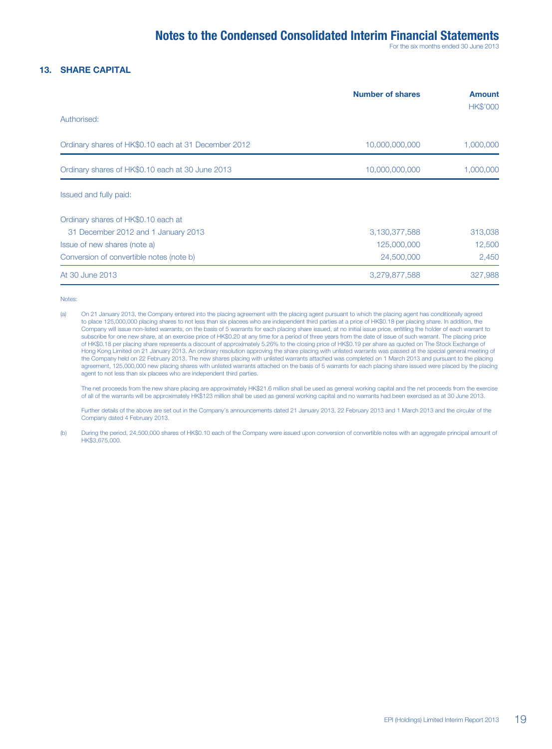For the six months ended 30 June 2013

#### **13. SHARE CAPITAL**

|                                                      | <b>Number of shares</b> | <b>Amount</b><br><b>HK\$'000</b> |
|------------------------------------------------------|-------------------------|----------------------------------|
| Authorised:                                          |                         |                                  |
| Ordinary shares of HK\$0.10 each at 31 December 2012 | 10,000,000,000          | 1,000,000                        |
| Ordinary shares of HK\$0.10 each at 30 June 2013     | 10,000,000,000          | 1,000,000                        |
| Issued and fully paid:                               |                         |                                  |
| Ordinary shares of HK\$0.10 each at                  |                         |                                  |
| 31 December 2012 and 1 January 2013                  | 3,130,377,588           | 313,038                          |
| Issue of new shares (note a)                         | 125,000,000             | 12,500                           |
| Conversion of convertible notes (note b)             | 24,500,000              | 2,450                            |
| At 30 June 2013                                      | 3,279,877,588           | 327,988                          |

Notes:

(a) On 21 January 2013, the Company entered into the placing agreement with the placing agent pursuant to which the placing agent has conditionally agreed to place 125,000,000 placing shares to not less than six placees who are independent third parties at a price of HK\$0.18 per placing share. In addition, the Company will issue non-listed warrants, on the basis of 5 warrants for each placing share issued, at no initial issue price, entitling the holder of each warrant to subscribe for one new share, at an exercise price of HK\$0.20 at any time for a period of three years from the date of issue of such warrant. The placing price of HK\$0.18 per placing share represents a discount of approximately 5.26% to the closing price of HK\$0.19 per share as quoted on The Stock Exchange of Hong Kong Limited on 21 January 2013. An ordinary resolution approving the share placing with unlisted warrants was passed at the special general meeting of the Company held on 22 February 2013. The new shares placing with unlisted warrants attached was completed on 1 March 2013 and pursuant to the placing agreement, 125,000,000 new placing shares with unlisted warrants attached on the basis of 5 warrants for each placing share issued were placed by the placing agent to not less than six placees who are independent third parties.

 The net proceeds from the new share placing are approximately HK\$21.6 million shall be used as general working capital and the net proceeds from the exercise of all of the warrants will be approximately HK\$123 million shall be used as general working capital and no warrants had been exercised as at 30 June 2013.

 Further details of the above are set out in the Company's announcements dated 21 January 2013, 22 February 2013 and 1 March 2013 and the circular of the Company dated 4 February 2013.

(b) During the period, 24,500,000 shares of HK\$0.10 each of the Company were issued upon conversion of convertible notes with an aggregate principal amount of **HK\$3,675,000**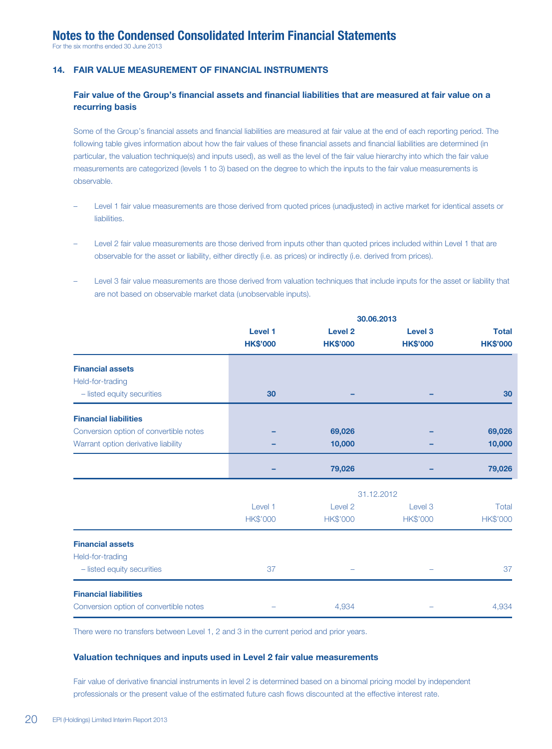For the six months ended 30 June 2013

### **14. FAIR VALUE MEASUREMENT OF FINANCIAL INSTRUMENTS**

### **Fair value of the Group's financial assets and financial liabilities that are measured at fair value on a recurring basis**

Some of the Group's financial assets and financial liabilities are measured at fair value at the end of each reporting period. The following table gives information about how the fair values of these financial assets and financial liabilities are determined (in particular, the valuation technique(s) and inputs used), as well as the level of the fair value hierarchy into which the fair value measurements are categorized (levels 1 to 3) based on the degree to which the inputs to the fair value measurements is observable.

- Level 1 fair value measurements are those derived from quoted prices (unadjusted) in active market for identical assets or liabilities.
- Level 2 fair value measurements are those derived from inputs other than quoted prices included within Level 1 that are observable for the asset or liability, either directly (i.e. as prices) or indirectly (i.e. derived from prices).
- Level 3 fair value measurements are those derived from valuation techniques that include inputs for the asset or liability that are not based on observable market data (unobservable inputs).

|                                                | 30.06.2013                 |                                       |                                       |                                 |
|------------------------------------------------|----------------------------|---------------------------------------|---------------------------------------|---------------------------------|
|                                                | Level 1<br><b>HK\$'000</b> | Level <sub>2</sub><br><b>HK\$'000</b> | Level <sub>3</sub><br><b>HK\$'000</b> | <b>Total</b><br><b>HK\$'000</b> |
| <b>Financial assets</b>                        |                            |                                       |                                       |                                 |
| Held-for-trading<br>- listed equity securities | 30                         |                                       |                                       | 30                              |
| <b>Financial liabilities</b>                   |                            |                                       |                                       |                                 |
| Conversion option of convertible notes         |                            | 69,026                                |                                       | 69,026                          |
| Warrant option derivative liability            |                            | 10,000                                |                                       | 10,000                          |
|                                                |                            | 79,026                                |                                       | 79,026                          |
|                                                |                            |                                       | 31.12.2012                            |                                 |
|                                                | Level 1                    | Level 2                               | Level 3                               | Total                           |
|                                                | <b>HK\$'000</b>            | <b>HK\$'000</b>                       | <b>HK\$'000</b>                       | <b>HK\$'000</b>                 |
| <b>Financial assets</b><br>Held-for-trading    |                            |                                       |                                       |                                 |
| - listed equity securities                     | 37                         |                                       |                                       | 37                              |
| <b>Financial liabilities</b>                   |                            |                                       |                                       |                                 |
| Conversion option of convertible notes         |                            | 4,934                                 |                                       | 4,934                           |

There were no transfers between Level 1, 2 and 3 in the current period and prior years.

#### **Valuation techniques and inputs used in Level 2 fair value measurements**

Fair value of derivative financial instruments in level 2 is determined based on a binomal pricing model by independent professionals or the present value of the estimated future cash flows discounted at the effective interest rate.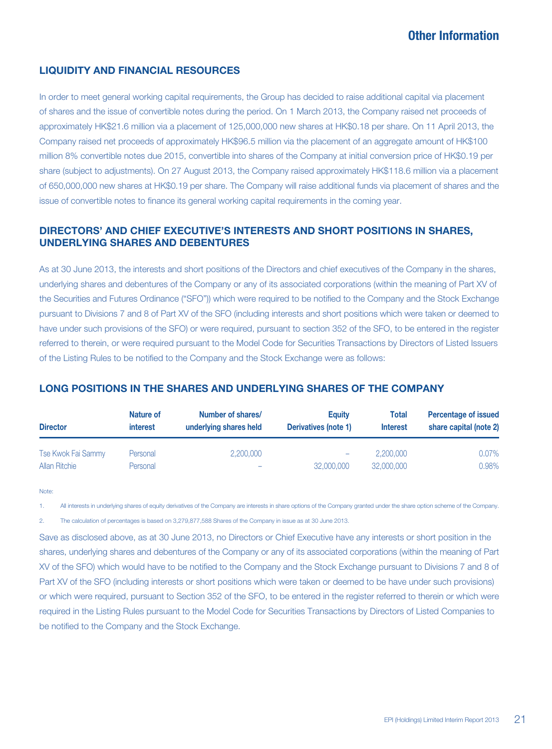# **LIQUIDITY AND FINANCIAL RESOURCES**

In order to meet general working capital requirements, the Group has decided to raise additional capital via placement of shares and the issue of convertible notes during the period. On 1 March 2013, the Company raised net proceeds of approximately HK\$21.6 million via a placement of 125,000,000 new shares at HK\$0.18 per share. On 11 April 2013, the Company raised net proceeds of approximately HK\$96.5 million via the placement of an aggregate amount of HK\$100 million 8% convertible notes due 2015, convertible into shares of the Company at initial conversion price of HK\$0.19 per share (subject to adjustments). On 27 August 2013, the Company raised approximately HK\$118.6 million via a placement of 650,000,000 new shares at HK\$0.19 per share. The Company will raise additional funds via placement of shares and the issue of convertible notes to finance its general working capital requirements in the coming year.

# **DIRECTORS' AND CHIEF EXECUTIVE'S INTERESTS AND SHORT POSITIONS IN SHARES, UNDERLYING SHARES AND DEBENTURES**

As at 30 June 2013, the interests and short positions of the Directors and chief executives of the Company in the shares, underlying shares and debentures of the Company or any of its associated corporations (within the meaning of Part XV of the Securities and Futures Ordinance ("SFO")) which were required to be notified to the Company and the Stock Exchange pursuant to Divisions 7 and 8 of Part XV of the SFO (including interests and short positions which were taken or deemed to have under such provisions of the SFO) or were required, pursuant to section 352 of the SFO, to be entered in the register referred to therein, or were required pursuant to the Model Code for Securities Transactions by Directors of Listed Issuers of the Listing Rules to be notified to the Company and the Stock Exchange were as follows:

| <b>Director</b>    | Nature of<br><i>interest</i> | Number of shares/<br>underlying shares held | Equity<br>Derivatives (note 1) | <b>Total</b><br><b>Interest</b> | <b>Percentage of issued</b><br>share capital (note 2) |  |
|--------------------|------------------------------|---------------------------------------------|--------------------------------|---------------------------------|-------------------------------------------------------|--|
| Tse Kwok Fai Sammy | Personal                     | 2,200,000                                   | -                              | 2,200,000                       | 0.07%                                                 |  |
| Allan Ritchie      | Personal                     |                                             | 32,000,000                     | 32,000,000                      | 0.98%                                                 |  |

# **LONG POSITIONS IN THE SHARES AND UNDERLYING SHARES OF THE COMPANY**

Note:

1. All interests in underlying shares of equity derivatives of the Company are interests in share options of the Company granted under the share option scheme of the Company.

2. The calculation of percentages is based on 3,279,877,588 Shares of the Company in issue as at 30 June 2013.

Save as disclosed above, as at 30 June 2013, no Directors or Chief Executive have any interests or short position in the shares, underlying shares and debentures of the Company or any of its associated corporations (within the meaning of Part XV of the SFO) which would have to be notified to the Company and the Stock Exchange pursuant to Divisions 7 and 8 of Part XV of the SFO (including interests or short positions which were taken or deemed to be have under such provisions) or which were required, pursuant to Section 352 of the SFO, to be entered in the register referred to therein or which were required in the Listing Rules pursuant to the Model Code for Securities Transactions by Directors of Listed Companies to be notified to the Company and the Stock Exchange.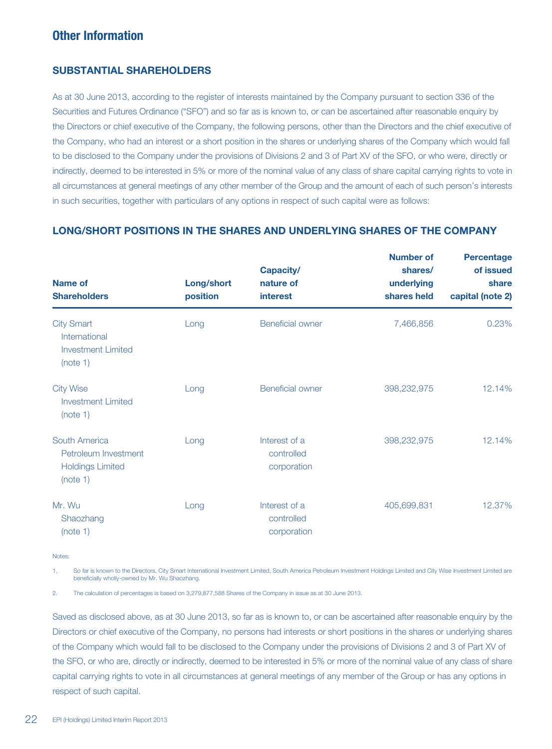# **Other Information**

## **SUBSTANTIAL SHAREHOLDERS**

As at 30 June 2013, according to the register of interests maintained by the Company pursuant to section 336 of the Securities and Futures Ordinance ("SFO") and so far as is known to, or can be ascertained after reasonable enquiry by the Directors or chief executive of the Company, the following persons, other than the Directors and the chief executive of the Company, who had an interest or a short position in the shares or underlying shares of the Company which would fall to be disclosed to the Company under the provisions of Divisions 2 and 3 of Part XV of the SFO, or who were, directly or indirectly, deemed to be interested in 5% or more of the nominal value of any class of share capital carrying rights to vote in all circumstances at general meetings of any other member of the Group and the amount of each of such person's interests in such securities, together with particulars of any options in respect of such capital were as follows:

# **LONG/SHORT POSITIONS IN THE SHARES AND UNDERLYING SHARES OF THE COMPANY**

| Name of<br><b>Shareholders</b>                                               | Long/short<br>position | Capacity/<br>nature of<br><b>interest</b>  | <b>Number of</b><br>shares/<br>underlying<br>shares held | <b>Percentage</b><br>of issued<br>share<br>capital (note 2) |  |
|------------------------------------------------------------------------------|------------------------|--------------------------------------------|----------------------------------------------------------|-------------------------------------------------------------|--|
| <b>City Smart</b><br>International<br><b>Investment Limited</b><br>(note 1)  | Long                   | <b>Beneficial owner</b>                    | 7,466,856                                                | 0.23%                                                       |  |
| <b>City Wise</b><br>Investment Limited<br>(note 1)                           | Long                   | <b>Beneficial owner</b>                    | 398,232,975                                              | 12.14%                                                      |  |
| South America<br>Petroleum Investment<br><b>Holdings Limited</b><br>(note 1) | Long                   | Interest of a<br>controlled<br>corporation | 398,232,975                                              | 12.14%                                                      |  |
| Mr. Wu<br>Shaozhang<br>(note 1)                                              | Long                   | Interest of a<br>controlled<br>corporation | 405,699,831                                              | 12.37%                                                      |  |

Notes:

1. So far is known to the Directors, City Smart International Investment Limited, South America Petroleum Investment Holdings Limited and City Wise Investment Limited are beneficially wholly-owned by Mr. Wu Shaozhang.

2. The calculation of percentages is based on 3,279,877,588 Shares of the Company in issue as at 30 June 2013.

Saved as disclosed above, as at 30 June 2013, so far as is known to, or can be ascertained after reasonable enquiry by the Directors or chief executive of the Company, no persons had interests or short positions in the shares or underlying shares of the Company which would fall to be disclosed to the Company under the provisions of Divisions 2 and 3 of Part XV of the SFO, or who are, directly or indirectly, deemed to be interested in 5% or more of the nominal value of any class of share capital carrying rights to vote in all circumstances at general meetings of any member of the Group or has any options in respect of such capital.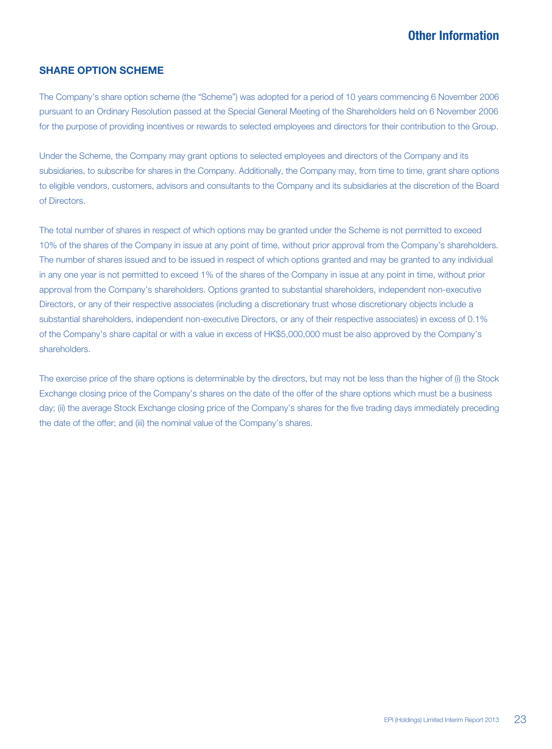# **SHARE OPTION SCHEME**

The Company's share option scheme (the "Scheme") was adopted for a period of 10 years commencing 6 November 2006 pursuant to an Ordinary Resolution passed at the Special General Meeting of the Shareholders held on 6 November 2006 for the purpose of providing incentives or rewards to selected employees and directors for their contribution to the Group.

Under the Scheme, the Company may grant options to selected employees and directors of the Company and its subsidiaries, to subscribe for shares in the Company. Additionally, the Company may, from time to time, grant share options to eligible vendors, customers, advisors and consultants to the Company and its subsidiaries at the discretion of the Board of Directors.

The total number of shares in respect of which options may be granted under the Scheme is not permitted to exceed 10% of the shares of the Company in issue at any point of time, without prior approval from the Company's shareholders. The number of shares issued and to be issued in respect of which options granted and may be granted to any individual in any one year is not permitted to exceed 1% of the shares of the Company in issue at any point in time, without prior approval from the Company's shareholders. Options granted to substantial shareholders, independent non-executive Directors, or any of their respective associates (including a discretionary trust whose discretionary objects include a substantial shareholders, independent non-executive Directors, or any of their respective associates) in excess of 0.1% of the Company's share capital or with a value in excess of HK\$5,000,000 must be also approved by the Company's shareholders.

The exercise price of the share options is determinable by the directors, but may not be less than the higher of (i) the Stock Exchange closing price of the Company's shares on the date of the offer of the share options which must be a business day; (ii) the average Stock Exchange closing price of the Company's shares for the five trading days immediately preceding the date of the offer; and (iii) the nominal value of the Company's shares.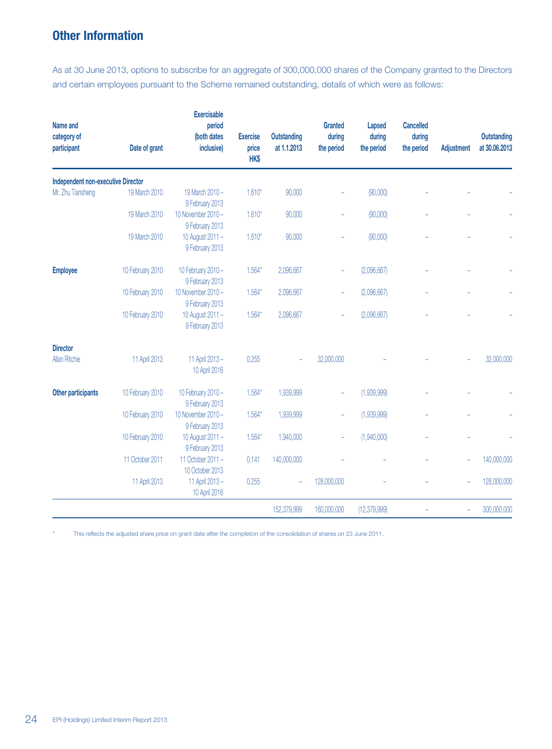# **Other Information**

As at 30 June 2013, options to subscribe for an aggregate of 300,000,000 shares of the Company granted to the Directors and certain employees pursuant to the Scheme remained outstanding, details of which were as follows:

| Name and<br>category of<br>participant    | Date of grant    | <b>Exercisable</b><br>period<br>(both dates<br>inclusive) | <b>Exercise</b><br>price<br>HK\$ | <b>Outstanding</b><br>at 1.1.2013 | Granted<br>during<br>the period | Lapsed<br>during<br>the period | <b>Cancelled</b><br>during<br>the period | Adjustment | <b>Outstanding</b><br>at 30.06.2013 |
|-------------------------------------------|------------------|-----------------------------------------------------------|----------------------------------|-----------------------------------|---------------------------------|--------------------------------|------------------------------------------|------------|-------------------------------------|
| <b>Independent non-executive Director</b> |                  |                                                           |                                  |                                   |                                 |                                |                                          |            |                                     |
| Mr. Zhu Tiansheng                         | 19 March 2010    | 19 March 2010 -<br>9 February 2013                        | $1.610*$                         | 90,000                            |                                 | (90,000)                       |                                          |            |                                     |
|                                           | 19 March 2010    | 10 November 2010 -<br>9 February 2013                     | $1.610*$                         | 90,000                            |                                 | (90,000)                       |                                          |            |                                     |
|                                           | 19 March 2010    | 10 August 2011 -<br>9 February 2013                       | $1.610*$                         | 90,000                            |                                 | (90,000)                       |                                          |            |                                     |
| <b>Employee</b>                           | 10 February 2010 | 10 February 2010 -<br>9 February 2013                     | $1.564*$                         | 2,096,667                         |                                 | (2,096,667)                    |                                          |            |                                     |
|                                           | 10 February 2010 | 10 November 2010 -<br>9 February 2013                     | $1.564*$                         | 2,096,667                         |                                 | (2,096,667)                    |                                          |            |                                     |
|                                           | 10 February 2010 | 10 August 2011 -<br>9 February 2013                       | $1.564*$                         | 2,096,667                         |                                 | (2,096,667)                    |                                          |            |                                     |
| <b>Director</b>                           |                  |                                                           |                                  |                                   |                                 |                                |                                          |            |                                     |
| <b>Allan Ritchie</b>                      | 11 April 2013    | 11 April 2013 -<br>10 April 2016                          | 0.255                            |                                   | 32,000,000                      |                                |                                          |            | 32,000,000                          |
| Other participants                        | 10 February 2010 | 10 February 2010 -<br>9 February 2013                     | $1.564*$                         | 1,939,999                         |                                 | (1,939,999)                    |                                          |            |                                     |
|                                           | 10 February 2010 | 10 November 2010 -<br>9 February 2013                     | $1.564*$                         | 1,939,999                         |                                 | (1,939,999)                    |                                          |            |                                     |
|                                           | 10 February 2010 | 10 August 2011 -<br>9 February 2013                       | $1.564*$                         | 1,940,000                         |                                 | (1,940,000)                    |                                          |            |                                     |
|                                           | 11 October 2011  | 11 October 2011 -<br>10 October 2013                      | 0.141                            | 140,000,000                       |                                 |                                |                                          |            | 140,000,000                         |
|                                           | 11 April 2013    | 11 April 2013 -<br>10 April 2016                          | 0.255                            | ÷,                                | 128,000,000                     |                                |                                          |            | 128,000,000                         |
|                                           |                  |                                                           |                                  | 152,379,999                       | 160,000,000                     | (12, 379, 999)                 |                                          |            | 300,000,000                         |

This reflects the adjusted share price on grant date after the completion of the consolidation of shares on 23 June 2011.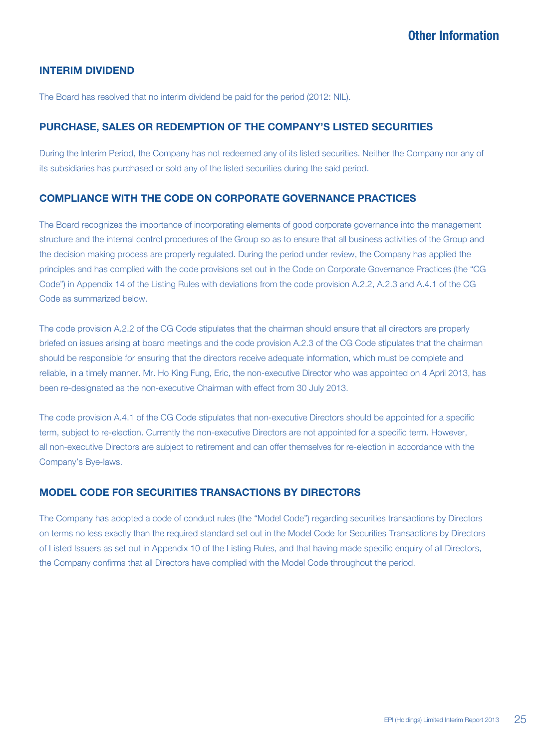# **INTERIM DIVIDEND**

The Board has resolved that no interim dividend be paid for the period (2012: NIL).

# **PURCHASE, SALES OR REDEMPTION OF THE COMPANY'S LISTED SECURITIES**

During the Interim Period, the Company has not redeemed any of its listed securities. Neither the Company nor any of its subsidiaries has purchased or sold any of the listed securities during the said period.

# **COMPLIANCE WITH THE CODE ON CORPORATE GOVERNANCE PRACTICES**

The Board recognizes the importance of incorporating elements of good corporate governance into the management structure and the internal control procedures of the Group so as to ensure that all business activities of the Group and the decision making process are properly regulated. During the period under review, the Company has applied the principles and has complied with the code provisions set out in the Code on Corporate Governance Practices (the "CG Code") in Appendix 14 of the Listing Rules with deviations from the code provision A.2.2, A.2.3 and A.4.1 of the CG Code as summarized below.

The code provision A.2.2 of the CG Code stipulates that the chairman should ensure that all directors are properly briefed on issues arising at board meetings and the code provision A.2.3 of the CG Code stipulates that the chairman should be responsible for ensuring that the directors receive adequate information, which must be complete and reliable, in a timely manner. Mr. Ho King Fung, Eric, the non-executive Director who was appointed on 4 April 2013, has been re-designated as the non-executive Chairman with effect from 30 July 2013.

The code provision A.4.1 of the CG Code stipulates that non-executive Directors should be appointed for a specific term, subject to re-election. Currently the non-executive Directors are not appointed for a specific term. However, all non-executive Directors are subject to retirement and can offer themselves for re-election in accordance with the Company's Bye-laws.

# **MODEL CODE FOR SECURITIES TRANSACTIONS BY DIRECTORS**

The Company has adopted a code of conduct rules (the "Model Code") regarding securities transactions by Directors on terms no less exactly than the required standard set out in the Model Code for Securities Transactions by Directors of Listed Issuers as set out in Appendix 10 of the Listing Rules, and that having made specific enquiry of all Directors, the Company confirms that all Directors have complied with the Model Code throughout the period.